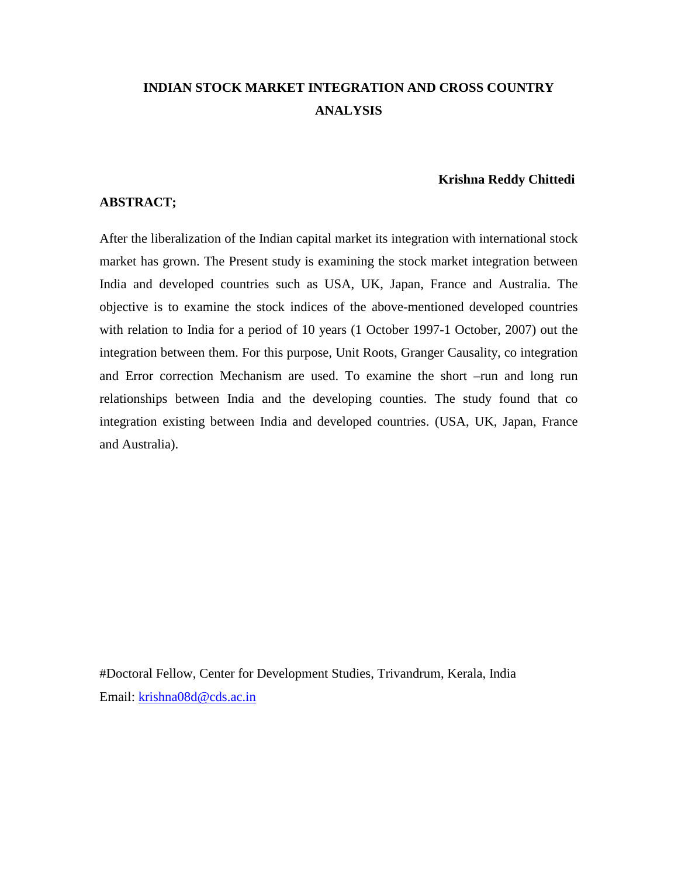# **INDIAN STOCK MARKET INTEGRATION AND CROSS COUNTRY ANALYSIS**

### **Krishna Reddy Chittedi**

### **ABSTRACT;**

After the liberalization of the Indian capital market its integration with international stock market has grown. The Present study is examining the stock market integration between India and developed countries such as USA, UK, Japan, France and Australia. The objective is to examine the stock indices of the above-mentioned developed countries with relation to India for a period of 10 years (1 October 1997-1 October, 2007) out the integration between them. For this purpose, Unit Roots, Granger Causality, co integration and Error correction Mechanism are used. To examine the short –run and long run relationships between India and the developing counties. The study found that co integration existing between India and developed countries. (USA, UK, Japan, France and Australia).

#Doctoral Fellow, Center for Development Studies, Trivandrum, Kerala, India Email: krishna08d@cds.ac.in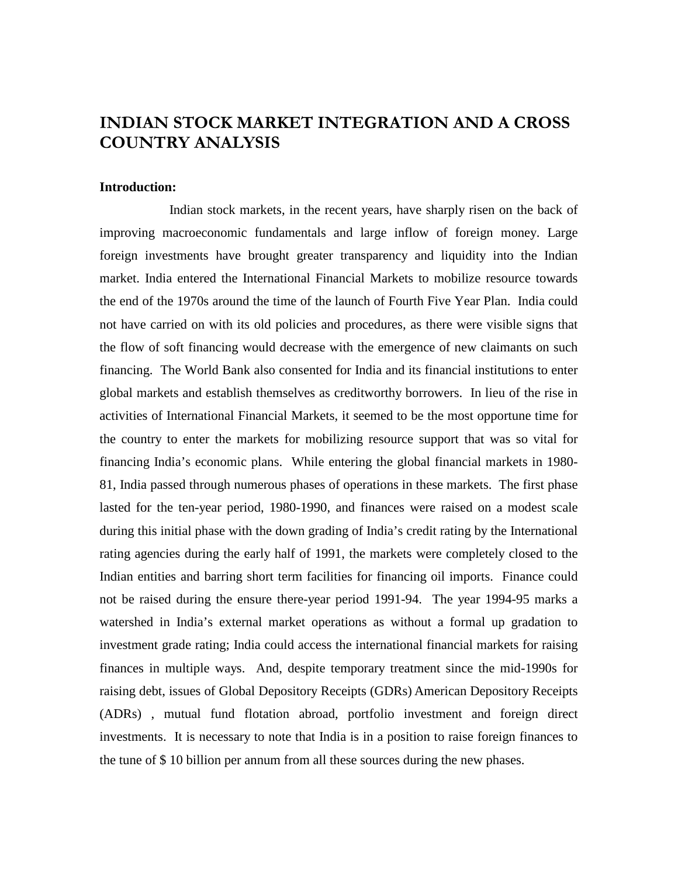# **INDIAN STOCK MARKET INTEGRATION AND A CROSS COUNTRY ANALYSIS**

#### **Introduction:**

Indian stock markets, in the recent years, have sharply risen on the back of improving macroeconomic fundamentals and large inflow of foreign money. Large foreign investments have brought greater transparency and liquidity into the Indian market. India entered the International Financial Markets to mobilize resource towards the end of the 1970s around the time of the launch of Fourth Five Year Plan. India could not have carried on with its old policies and procedures, as there were visible signs that the flow of soft financing would decrease with the emergence of new claimants on such financing. The World Bank also consented for India and its financial institutions to enter global markets and establish themselves as creditworthy borrowers. In lieu of the rise in activities of International Financial Markets, it seemed to be the most opportune time for the country to enter the markets for mobilizing resource support that was so vital for financing India's economic plans. While entering the global financial markets in 1980- 81, India passed through numerous phases of operations in these markets. The first phase lasted for the ten-year period, 1980-1990, and finances were raised on a modest scale during this initial phase with the down grading of India's credit rating by the International rating agencies during the early half of 1991, the markets were completely closed to the Indian entities and barring short term facilities for financing oil imports. Finance could not be raised during the ensure there-year period 1991-94. The year 1994-95 marks a watershed in India's external market operations as without a formal up gradation to investment grade rating; India could access the international financial markets for raising finances in multiple ways. And, despite temporary treatment since the mid-1990s for raising debt, issues of Global Depository Receipts (GDRs) American Depository Receipts (ADRs) , mutual fund flotation abroad, portfolio investment and foreign direct investments. It is necessary to note that India is in a position to raise foreign finances to the tune of \$ 10 billion per annum from all these sources during the new phases.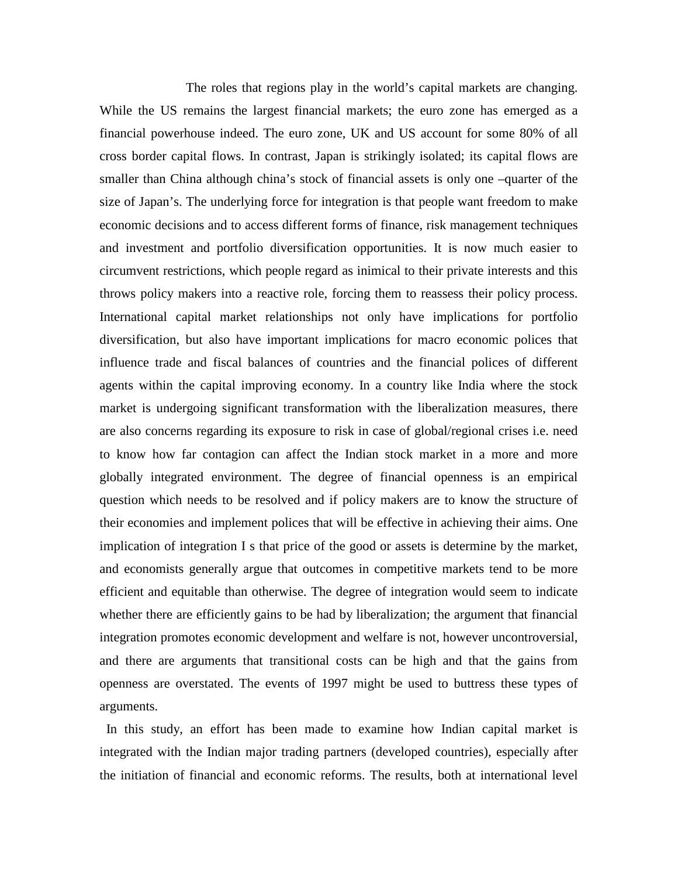The roles that regions play in the world's capital markets are changing. While the US remains the largest financial markets; the euro zone has emerged as a financial powerhouse indeed. The euro zone, UK and US account for some 80% of all cross border capital flows. In contrast, Japan is strikingly isolated; its capital flows are smaller than China although china's stock of financial assets is only one –quarter of the size of Japan's. The underlying force for integration is that people want freedom to make economic decisions and to access different forms of finance, risk management techniques and investment and portfolio diversification opportunities. It is now much easier to circumvent restrictions, which people regard as inimical to their private interests and this throws policy makers into a reactive role, forcing them to reassess their policy process. International capital market relationships not only have implications for portfolio diversification, but also have important implications for macro economic polices that influence trade and fiscal balances of countries and the financial polices of different agents within the capital improving economy. In a country like India where the stock market is undergoing significant transformation with the liberalization measures, there are also concerns regarding its exposure to risk in case of global/regional crises i.e. need to know how far contagion can affect the Indian stock market in a more and more globally integrated environment. The degree of financial openness is an empirical question which needs to be resolved and if policy makers are to know the structure of their economies and implement polices that will be effective in achieving their aims. One implication of integration I s that price of the good or assets is determine by the market, and economists generally argue that outcomes in competitive markets tend to be more efficient and equitable than otherwise. The degree of integration would seem to indicate whether there are efficiently gains to be had by liberalization; the argument that financial integration promotes economic development and welfare is not, however uncontroversial, and there are arguments that transitional costs can be high and that the gains from openness are overstated. The events of 1997 might be used to buttress these types of arguments.

In this study, an effort has been made to examine how Indian capital market is integrated with the Indian major trading partners (developed countries), especially after the initiation of financial and economic reforms. The results, both at international level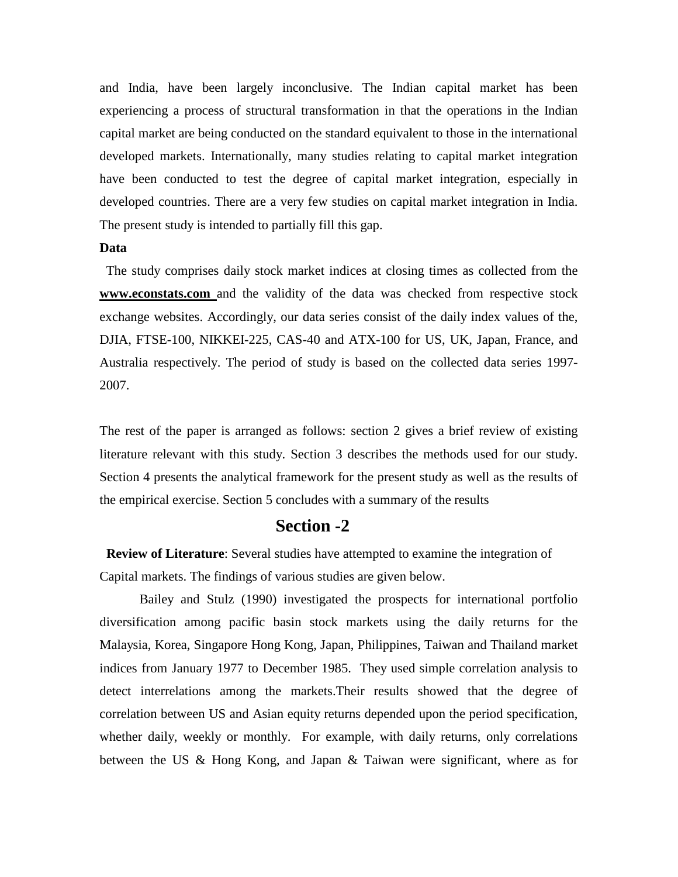and India, have been largely inconclusive. The Indian capital market has been experiencing a process of structural transformation in that the operations in the Indian capital market are being conducted on the standard equivalent to those in the international developed markets. Internationally, many studies relating to capital market integration have been conducted to test the degree of capital market integration, especially in developed countries. There are a very few studies on capital market integration in India. The present study is intended to partially fill this gap.

### **Data**

The study comprises daily stock market indices at closing times as collected from the **www.econstats.com** and the validity of the data was checked from respective stock exchange websites. Accordingly, our data series consist of the daily index values of the, DJIA, FTSE-100, NIKKEI-225, CAS-40 and ATX-100 for US, UK, Japan, France, and Australia respectively. The period of study is based on the collected data series 1997- 2007.

The rest of the paper is arranged as follows: section 2 gives a brief review of existing literature relevant with this study. Section 3 describes the methods used for our study. Section 4 presents the analytical framework for the present study as well as the results of the empirical exercise. Section 5 concludes with a summary of the results

# **Section -2**

**Review of Literature**: Several studies have attempted to examine the integration of Capital markets. The findings of various studies are given below.

Bailey and Stulz (1990) investigated the prospects for international portfolio diversification among pacific basin stock markets using the daily returns for the Malaysia, Korea, Singapore Hong Kong, Japan, Philippines, Taiwan and Thailand market indices from January 1977 to December 1985. They used simple correlation analysis to detect interrelations among the markets.Their results showed that the degree of correlation between US and Asian equity returns depended upon the period specification, whether daily, weekly or monthly. For example, with daily returns, only correlations between the US & Hong Kong, and Japan & Taiwan were significant, where as for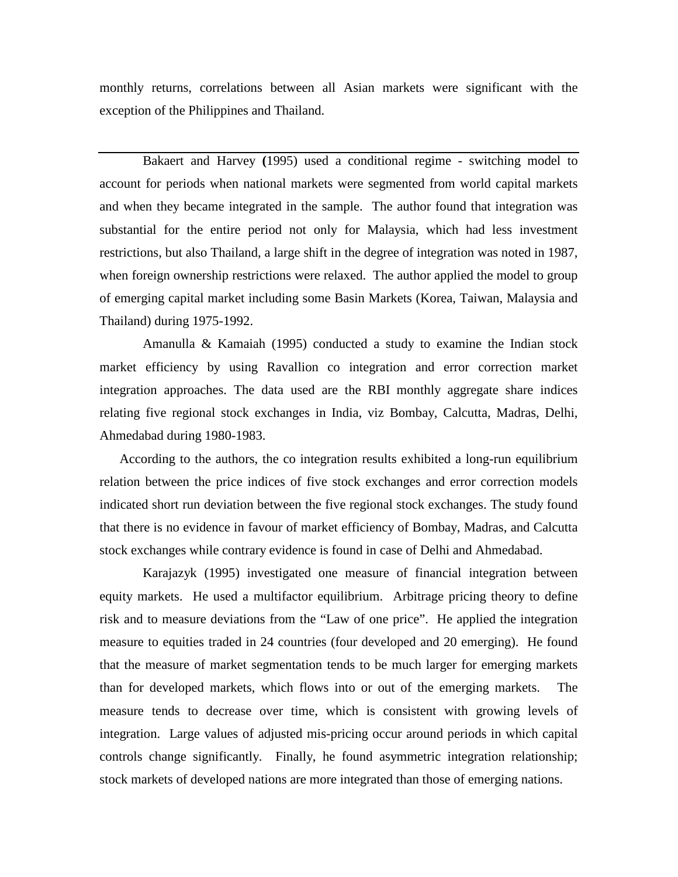monthly returns, correlations between all Asian markets were significant with the exception of the Philippines and Thailand.

Bakaert and Harvey **(**1995) used a conditional regime - switching model to account for periods when national markets were segmented from world capital markets and when they became integrated in the sample. The author found that integration was substantial for the entire period not only for Malaysia, which had less investment restrictions, but also Thailand, a large shift in the degree of integration was noted in 1987, when foreign ownership restrictions were relaxed. The author applied the model to group of emerging capital market including some Basin Markets (Korea, Taiwan, Malaysia and Thailand) during 1975-1992.

Amanulla & Kamaiah (1995) conducted a study to examine the Indian stock market efficiency by using Ravallion co integration and error correction market integration approaches. The data used are the RBI monthly aggregate share indices relating five regional stock exchanges in India, viz Bombay, Calcutta, Madras, Delhi, Ahmedabad during 1980-1983.

According to the authors, the co integration results exhibited a long-run equilibrium relation between the price indices of five stock exchanges and error correction models indicated short run deviation between the five regional stock exchanges. The study found that there is no evidence in favour of market efficiency of Bombay, Madras, and Calcutta stock exchanges while contrary evidence is found in case of Delhi and Ahmedabad.

Karajazyk (1995) investigated one measure of financial integration between equity markets. He used a multifactor equilibrium. Arbitrage pricing theory to define risk and to measure deviations from the "Law of one price". He applied the integration measure to equities traded in 24 countries (four developed and 20 emerging). He found that the measure of market segmentation tends to be much larger for emerging markets than for developed markets, which flows into or out of the emerging markets. The measure tends to decrease over time, which is consistent with growing levels of integration. Large values of adjusted mis-pricing occur around periods in which capital controls change significantly. Finally, he found asymmetric integration relationship; stock markets of developed nations are more integrated than those of emerging nations.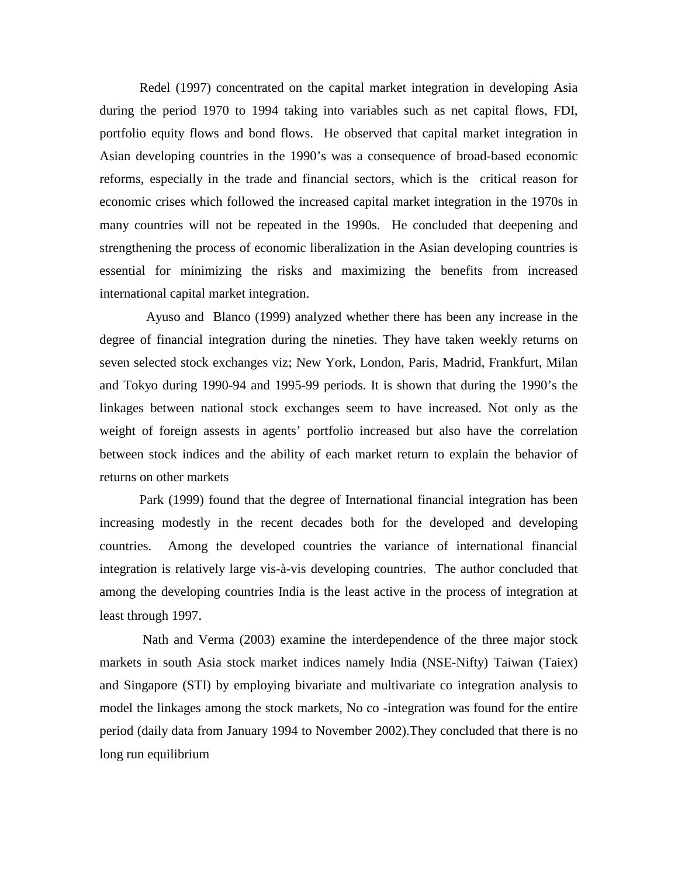Redel (1997) concentrated on the capital market integration in developing Asia during the period 1970 to 1994 taking into variables such as net capital flows, FDI, portfolio equity flows and bond flows. He observed that capital market integration in Asian developing countries in the 1990's was a consequence of broad-based economic reforms, especially in the trade and financial sectors, which is the critical reason for economic crises which followed the increased capital market integration in the 1970s in many countries will not be repeated in the 1990s. He concluded that deepening and strengthening the process of economic liberalization in the Asian developing countries is essential for minimizing the risks and maximizing the benefits from increased international capital market integration.

Ayuso and Blanco (1999) analyzed whether there has been any increase in the degree of financial integration during the nineties. They have taken weekly returns on seven selected stock exchanges viz; New York, London, Paris, Madrid, Frankfurt, Milan and Tokyo during 1990-94 and 1995-99 periods. It is shown that during the 1990's the linkages between national stock exchanges seem to have increased. Not only as the weight of foreign assests in agents' portfolio increased but also have the correlation between stock indices and the ability of each market return to explain the behavior of returns on other markets

Park (1999) found that the degree of International financial integration has been increasing modestly in the recent decades both for the developed and developing countries. Among the developed countries the variance of international financial integration is relatively large vis-à-vis developing countries. The author concluded that among the developing countries India is the least active in the process of integration at least through 1997.

Nath and Verma (2003) examine the interdependence of the three major stock markets in south Asia stock market indices namely India (NSE-Nifty) Taiwan (Taiex) and Singapore (STI) by employing bivariate and multivariate co integration analysis to model the linkages among the stock markets, No co -integration was found for the entire period (daily data from January 1994 to November 2002).They concluded that there is no long run equilibrium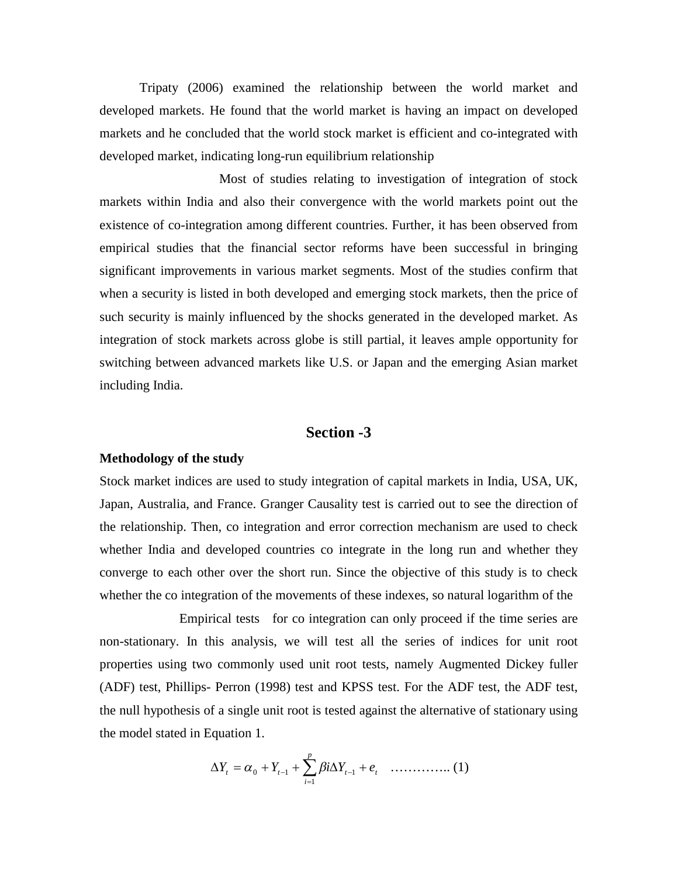Tripaty (2006) examined the relationship between the world market and developed markets. He found that the world market is having an impact on developed markets and he concluded that the world stock market is efficient and co-integrated with developed market, indicating long-run equilibrium relationship

Most of studies relating to investigation of integration of stock markets within India and also their convergence with the world markets point out the existence of co-integration among different countries. Further, it has been observed from empirical studies that the financial sector reforms have been successful in bringing significant improvements in various market segments. Most of the studies confirm that when a security is listed in both developed and emerging stock markets, then the price of such security is mainly influenced by the shocks generated in the developed market. As integration of stock markets across globe is still partial, it leaves ample opportunity for switching between advanced markets like U.S. or Japan and the emerging Asian market including India.

# **Section -3**

#### **Methodology of the study**

Stock market indices are used to study integration of capital markets in India, USA, UK, Japan, Australia, and France. Granger Causality test is carried out to see the direction of the relationship. Then, co integration and error correction mechanism are used to check whether India and developed countries co integrate in the long run and whether they converge to each other over the short run. Since the objective of this study is to check whether the co integration of the movements of these indexes, so natural logarithm of the

Empirical tests for co integration can only proceed if the time series are non-stationary. In this analysis, we will test all the series of indices for unit root properties using two commonly used unit root tests, namely Augmented Dickey fuller (ADF) test, Phillips- Perron (1998) test and KPSS test. For the ADF test, the ADF test, the null hypothesis of a single unit root is tested against the alternative of stationary using the model stated in Equation 1.

$$
\Delta Y_{t} = \alpha_{0} + Y_{t-1} + \sum_{i=1}^{p} \beta i \Delta Y_{t-1} + e_{t} \quad \dots \dots \dots \dots \dots \tag{1}
$$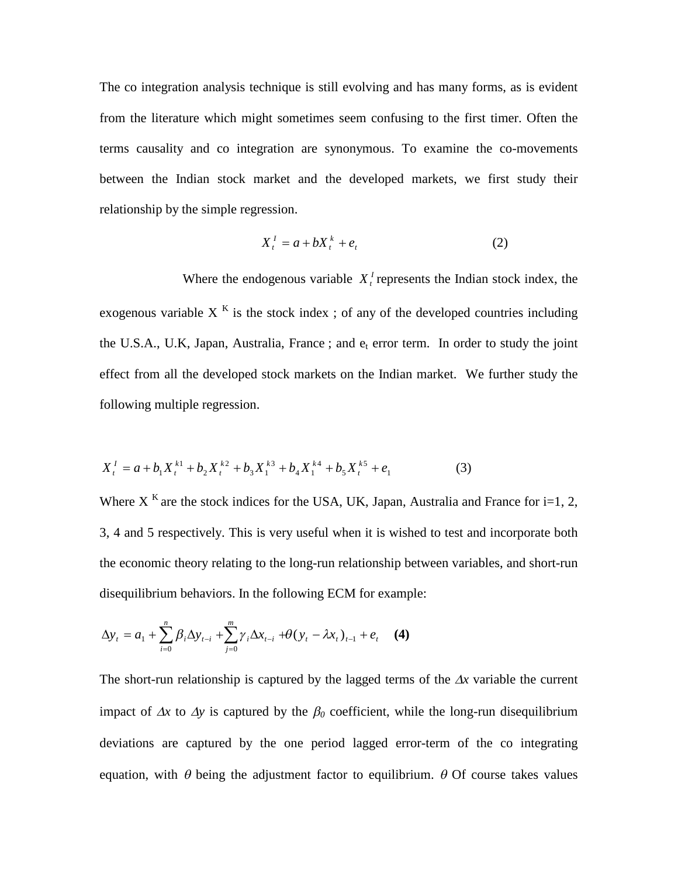The co integration analysis technique is still evolving and has many forms, as is evident from the literature which might sometimes seem confusing to the first timer. Often the terms causality and co integration are synonymous. To examine the co-movements between the Indian stock market and the developed markets, we first study their relationship by the simple regression.

$$
X_t^I = a + bX_t^k + e_t \tag{2}
$$

Where the endogenous variable  $X_t^{\dagger}$  represents the Indian stock index, the exogenous variable  $X<sup>K</sup>$  is the stock index; of any of the developed countries including the U.S.A., U.K, Japan, Australia, France ; and  $e_t$  error term. In order to study the joint effect from all the developed stock markets on the Indian market. We further study the following multiple regression.

$$
X_t^1 = a + b_1 X_t^{k1} + b_2 X_t^{k2} + b_3 X_1^{k3} + b_4 X_1^{k4} + b_5 X_t^{k5} + e_1
$$
 (3)

Where X  $<sup>K</sup>$  are the stock indices for the USA, UK, Japan, Australia and France for i=1, 2,</sup> 3, 4 and 5 respectively. This is very useful when it is wished to test and incorporate both the economic theory relating to the long-run relationship between variables, and short-run disequilibrium behaviors. In the following ECM for example:

$$
\Delta y_t = a_1 + \sum_{i=0}^n \beta_i \Delta y_{t-i} + \sum_{j=0}^m \gamma_j \Delta x_{t-j} + \theta (y_t - \lambda x_t)_{t-1} + e_t \quad (4)
$$

The short-run relationship is captured by the lagged terms of the  $\Delta x$  variable the current impact of  $\Delta x$  to  $\Delta y$  is captured by the  $\beta_0$  coefficient, while the long-run disequilibrium deviations are captured by the one period lagged error-term of the co integrating equation, with  $\theta$  being the adjustment factor to equilibrium.  $\theta$  Of course takes values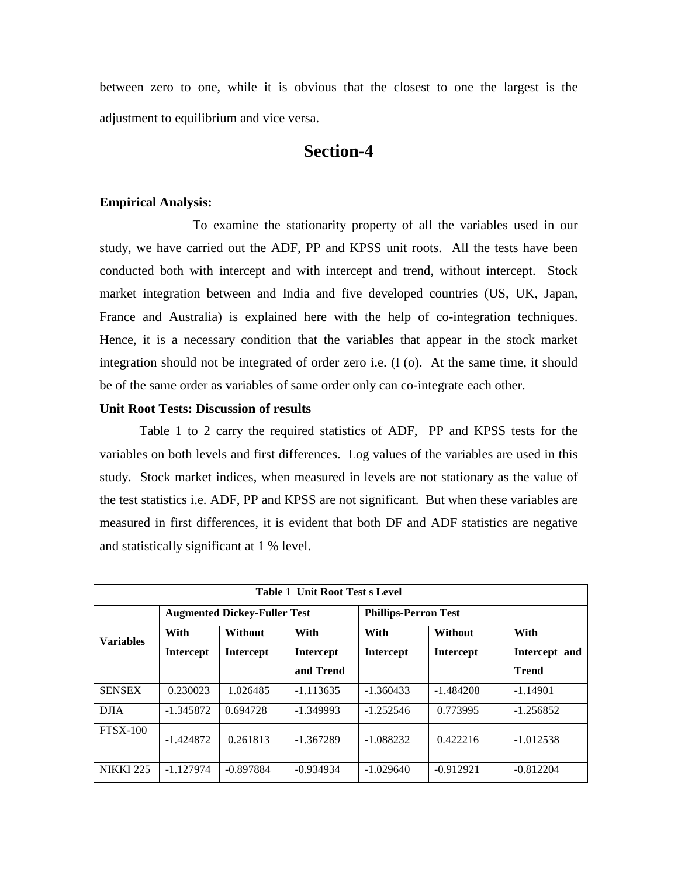between zero to one, while it is obvious that the closest to one the largest is the adjustment to equilibrium and vice versa.

# **Section-4**

### **Empirical Analysis:**

To examine the stationarity property of all the variables used in our study, we have carried out the ADF, PP and KPSS unit roots. All the tests have been conducted both with intercept and with intercept and trend, without intercept. Stock market integration between and India and five developed countries (US, UK, Japan, France and Australia) is explained here with the help of co-integration techniques. Hence, it is a necessary condition that the variables that appear in the stock market integration should not be integrated of order zero i.e. (I (o). At the same time, it should be of the same order as variables of same order only can co-integrate each other.

# **Unit Root Tests: Discussion of results**

Table 1 to 2 carry the required statistics of ADF, PP and KPSS tests for the variables on both levels and first differences. Log values of the variables are used in this study. Stock market indices, when measured in levels are not stationary as the value of the test statistics i.e. ADF, PP and KPSS are not significant. But when these variables are measured in first differences, it is evident that both DF and ADF statistics are negative and statistically significant at 1 % level.

| <b>Table 1 Unit Root Test s Level</b> |                                     |                        |                  |                             |                  |               |  |  |
|---------------------------------------|-------------------------------------|------------------------|------------------|-----------------------------|------------------|---------------|--|--|
|                                       | <b>Augmented Dickey-Fuller Test</b> |                        |                  | <b>Phillips-Perron Test</b> |                  |               |  |  |
| <b>Variables</b>                      | With                                | With<br><b>Without</b> |                  | With                        | Without          | With          |  |  |
|                                       | <b>Intercept</b>                    | Intercept              | <b>Intercept</b> | <b>Intercept</b>            | <b>Intercept</b> | Intercept and |  |  |
|                                       |                                     |                        | and Trend        |                             |                  | <b>Trend</b>  |  |  |
| <b>SENSEX</b>                         | 0.230023                            | 1.026485               | $-1.113635$      | $-1.360433$                 | $-1.484208$      | $-1.14901$    |  |  |
| <b>DJIA</b>                           | $-1.345872$                         | 0.694728               | $-1.349993$      | $-1.252546$                 | 0.773995         | $-1.256852$   |  |  |
| $FTSX-100$                            | $-1.424872$                         | 0.261813               | $-1.367289$      | $-1.088232$                 | 0.422216         | $-1.012538$   |  |  |
| <b>NIKKI 225</b>                      | $-1.127974$                         | $-0.897884$            | $-0.934934$      | $-1.029640$                 | $-0.912921$      | $-0.812204$   |  |  |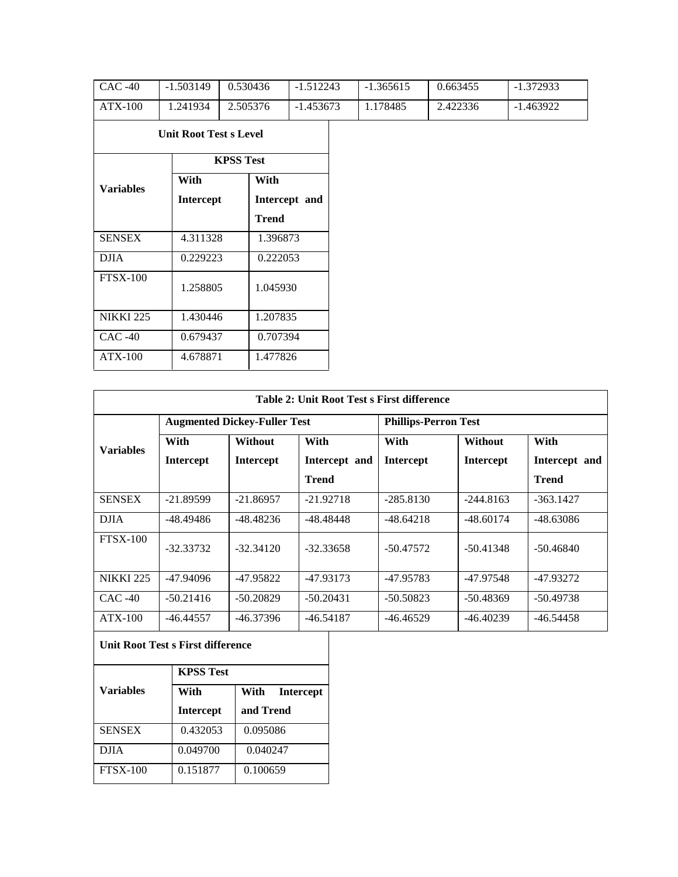| $CAC -40$        | $-1.503149$                   | 0.530436         | $-1.512243$   | $-1.365615$ | 0.663455 | $-1.372933$ |
|------------------|-------------------------------|------------------|---------------|-------------|----------|-------------|
| <b>ATX-100</b>   | 1.241934                      | 2.505376         | $-1.453673$   | 1.178485    | 2.422336 | $-1.463922$ |
|                  | <b>Unit Root Test s Level</b> |                  |               |             |          |             |
|                  |                               | <b>KPSS Test</b> |               |             |          |             |
| <b>Variables</b> | With                          | With             |               |             |          |             |
|                  | Intercept                     |                  | Intercept and |             |          |             |
|                  |                               | <b>Trend</b>     |               |             |          |             |
| <b>SENSEX</b>    | 4.311328                      | 1.396873         |               |             |          |             |
| <b>DJIA</b>      | 0.229223                      | 0.222053         |               |             |          |             |
| <b>FTSX-100</b>  | 1.258805                      | 1.045930         |               |             |          |             |
| <b>NIKKI 225</b> | 1.430446                      | 1.207835         |               |             |          |             |
| $CAC -40$        | 0.679437                      | 0.707394         |               |             |          |             |
| <b>ATX-100</b>   | 4.678871                      | 1.477826         |               |             |          |             |

| <b>Table 2: Unit Root Test s First difference</b> |                  |                                     |               |                             |                  |               |  |  |
|---------------------------------------------------|------------------|-------------------------------------|---------------|-----------------------------|------------------|---------------|--|--|
|                                                   |                  | <b>Augmented Dickey-Fuller Test</b> |               | <b>Phillips-Perron Test</b> |                  |               |  |  |
| <b>Variables</b>                                  | With             | Without                             | With          | With                        | Without          | With          |  |  |
|                                                   | <b>Intercept</b> | <b>Intercept</b>                    | Intercept and | <b>Intercept</b>            | <b>Intercept</b> | Intercept and |  |  |
|                                                   |                  |                                     | <b>Trend</b>  |                             |                  | <b>Trend</b>  |  |  |
| <b>SENSEX</b>                                     | $-21.89599$      | $-21.86957$                         | $-21.92718$   | $-285.8130$                 | $-244.8163$      | $-363.1427$   |  |  |
| <b>DJIA</b>                                       | $-48.49486$      | -48.48236                           | $-48.48448$   | $-48.64218$                 | $-48.60174$      | -48.63086     |  |  |
| $FTSX-100$                                        | $-32.33732$      | $-32.34120$                         | $-32.33658$   | $-50.47572$                 | $-50.41348$      | $-50.46840$   |  |  |
| <b>NIKKI 225</b>                                  | $-47.94096$      | -47.95822                           | -47.93173     | -47.95783                   | $-47.97548$      | -47.93272     |  |  |
| $CAC-40$                                          | $-50.21416$      | $-50.20829$                         | $-50.20431$   | $-50.50823$                 | $-50.48369$      | $-50.49738$   |  |  |
| $ATX-100$                                         | $-46.44557$      | $-46.37396$                         | $-46.54187$   | $-46.46529$                 | $-46.40239$      | $-46.54458$   |  |  |

**Unit Root Test s First difference**

|                  | <b>KPSS Test</b> |                          |  |  |  |  |
|------------------|------------------|--------------------------|--|--|--|--|
| <b>Variables</b> | With             | <b>Intercept</b><br>With |  |  |  |  |
|                  | <b>Intercept</b> | and Trend                |  |  |  |  |
| <b>SENSEX</b>    | 0.432053         | 0.095086                 |  |  |  |  |
| DJIA             | 0.049700         | 0.040247                 |  |  |  |  |
| $FTSX-100$       | 0.151877         | 0.100659                 |  |  |  |  |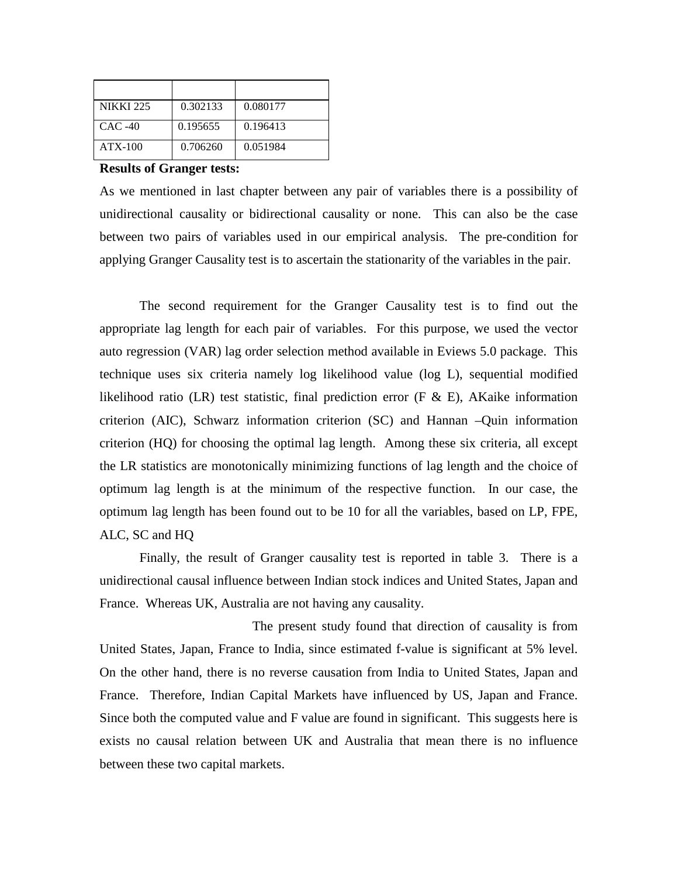| <b>NIKKI 225</b> | 0.302133 | 0.080177 |
|------------------|----------|----------|
| $CAC-40$         | 0.195655 | 0.196413 |
| $ATX-100$        | 0.706260 | 0.051984 |

### **Results of Granger tests:**

As we mentioned in last chapter between any pair of variables there is a possibility of unidirectional causality or bidirectional causality or none. This can also be the case between two pairs of variables used in our empirical analysis. The pre-condition for applying Granger Causality test is to ascertain the stationarity of the variables in the pair.

The second requirement for the Granger Causality test is to find out the appropriate lag length for each pair of variables. For this purpose, we used the vector auto regression (VAR) lag order selection method available in Eviews 5.0 package. This technique uses six criteria namely log likelihood value (log L), sequential modified likelihood ratio (LR) test statistic, final prediction error (F  $\&$  E), AKaike information criterion (AIC), Schwarz information criterion (SC) and Hannan –Quin information criterion (HQ) for choosing the optimal lag length. Among these six criteria, all except the LR statistics are monotonically minimizing functions of lag length and the choice of optimum lag length is at the minimum of the respective function. In our case, the optimum lag length has been found out to be 10 for all the variables, based on LP, FPE, ALC, SC and HQ

Finally, the result of Granger causality test is reported in table 3. There is a unidirectional causal influence between Indian stock indices and United States, Japan and France. Whereas UK, Australia are not having any causality.

The present study found that direction of causality is from United States, Japan, France to India, since estimated f-value is significant at 5% level. On the other hand, there is no reverse causation from India to United States, Japan and France. Therefore, Indian Capital Markets have influenced by US, Japan and France. Since both the computed value and F value are found in significant. This suggests here is exists no causal relation between UK and Australia that mean there is no influence between these two capital markets.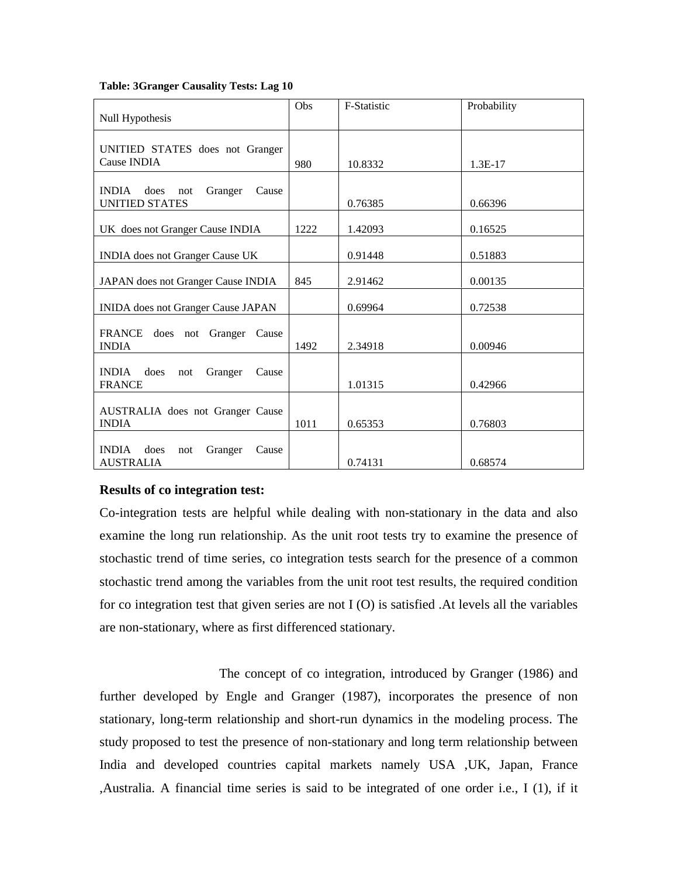#### **Table: 3Granger Causality Tests: Lag 10**

|                                                 | Obs  | F-Statistic | Probability |
|-------------------------------------------------|------|-------------|-------------|
| Null Hypothesis                                 |      |             |             |
|                                                 |      |             |             |
| UNITIED STATES does not Granger                 |      |             |             |
| <b>Cause INDIA</b>                              | 980  | 10.8332     | $1.3E-17$   |
|                                                 |      |             |             |
| <b>INDIA</b><br>Granger<br>Cause<br>does<br>not |      |             |             |
| UNITIED STATES                                  |      | 0.76385     | 0.66396     |
| UK does not Granger Cause INDIA                 | 1222 | 1.42093     | 0.16525     |
|                                                 |      |             |             |
| <b>INDIA</b> does not Granger Cause UK          |      | 0.91448     | 0.51883     |
|                                                 |      |             |             |
| JAPAN does not Granger Cause INDIA              | 845  | 2.91462     | 0.00135     |
| INIDA does not Granger Cause JAPAN              |      | 0.69964     | 0.72538     |
|                                                 |      |             |             |
| FRANCE does not Granger Cause                   |      |             |             |
| <b>INDIA</b>                                    | 1492 | 2.34918     | 0.00946     |
| INDIA does<br>Cause                             |      |             |             |
| Granger<br>not<br><b>FRANCE</b>                 |      | 1.01315     | 0.42966     |
|                                                 |      |             |             |
| AUSTRALIA does not Granger Cause                |      |             |             |
| <b>INDIA</b>                                    | 1011 | 0.65353     | 0.76803     |
|                                                 |      |             |             |
| <b>INDIA</b><br>does<br>Cause<br>Granger<br>not |      |             |             |
| <b>AUSTRALIA</b>                                |      | 0.74131     | 0.68574     |

# **Results of co integration test:**

Co-integration tests are helpful while dealing with non-stationary in the data and also examine the long run relationship. As the unit root tests try to examine the presence of stochastic trend of time series, co integration tests search for the presence of a common stochastic trend among the variables from the unit root test results, the required condition for co integration test that given series are not I (O) is satisfied .At levels all the variables are non-stationary, where as first differenced stationary.

The concept of co integration, introduced by Granger (1986) and further developed by Engle and Granger (1987), incorporates the presence of non stationary, long-term relationship and short-run dynamics in the modeling process. The study proposed to test the presence of non-stationary and long term relationship between India and developed countries capital markets namely USA ,UK, Japan, France ,Australia. A financial time series is said to be integrated of one order i.e., I (1), if it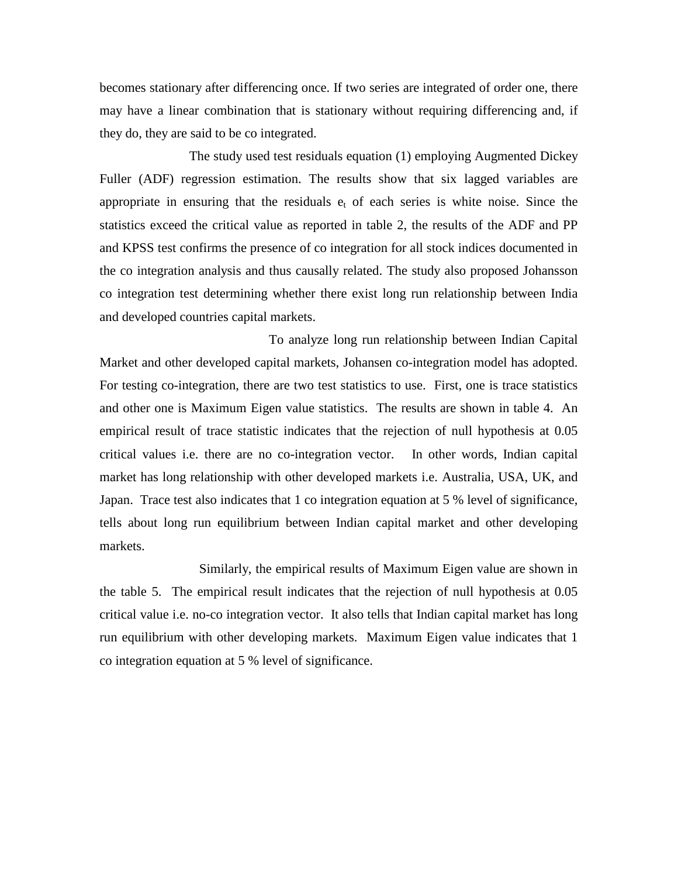becomes stationary after differencing once. If two series are integrated of order one, there may have a linear combination that is stationary without requiring differencing and, if they do, they are said to be co integrated.

The study used test residuals equation (1) employing Augmented Dickey Fuller (ADF) regression estimation. The results show that six lagged variables are appropriate in ensuring that the residuals  $e_t$  of each series is white noise. Since the statistics exceed the critical value as reported in table 2, the results of the ADF and PP and KPSS test confirms the presence of co integration for all stock indices documented in the co integration analysis and thus causally related. The study also proposed Johansson co integration test determining whether there exist long run relationship between India and developed countries capital markets.

To analyze long run relationship between Indian Capital Market and other developed capital markets, Johansen co-integration model has adopted. For testing co-integration, there are two test statistics to use. First, one is trace statistics and other one is Maximum Eigen value statistics. The results are shown in table 4. An empirical result of trace statistic indicates that the rejection of null hypothesis at 0.05 critical values i.e. there are no co-integration vector. In other words, Indian capital market has long relationship with other developed markets i.e. Australia, USA, UK, and Japan. Trace test also indicates that 1 co integration equation at 5 % level of significance, tells about long run equilibrium between Indian capital market and other developing markets.

Similarly, the empirical results of Maximum Eigen value are shown in the table 5. The empirical result indicates that the rejection of null hypothesis at 0.05 critical value i.e. no-co integration vector. It also tells that Indian capital market has long run equilibrium with other developing markets. Maximum Eigen value indicates that 1 co integration equation at 5 % level of significance.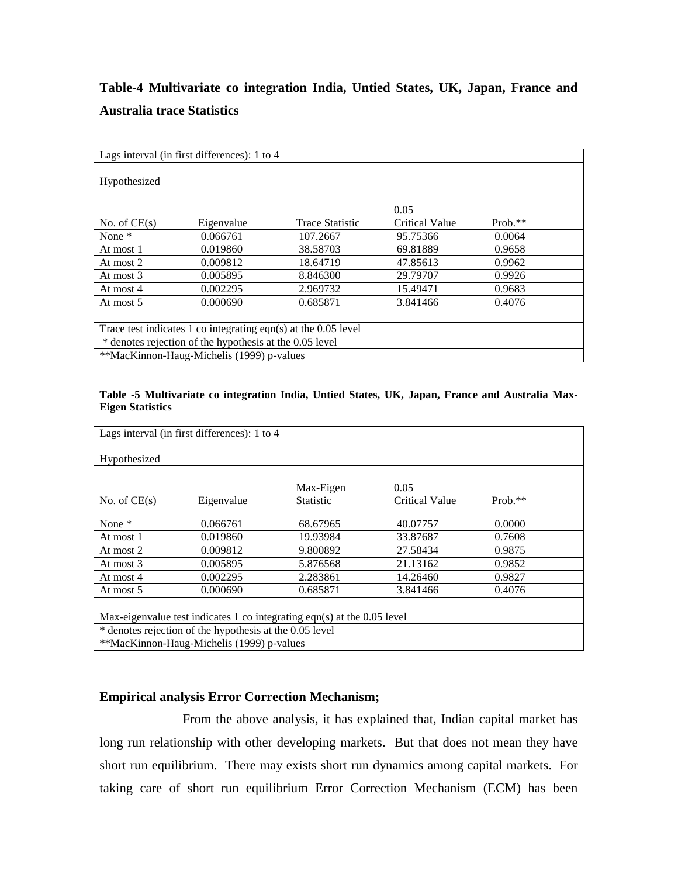# **Table-4 Multivariate co integration India, Untied States, UK, Japan, France and Australia trace Statistics**

| Lags interval (in first differences): 1 to 4                     |                                                         |                        |                       |           |  |  |  |
|------------------------------------------------------------------|---------------------------------------------------------|------------------------|-----------------------|-----------|--|--|--|
| Hypothesized                                                     |                                                         |                        |                       |           |  |  |  |
|                                                                  |                                                         |                        | 0.05                  |           |  |  |  |
| No. of $CE(s)$                                                   | Eigenvalue                                              | <b>Trace Statistic</b> | <b>Critical Value</b> | $Prob.**$ |  |  |  |
| None $*$                                                         | 0.066761                                                | 107.2667               | 95.75366              | 0.0064    |  |  |  |
| At most 1                                                        | 0.019860                                                | 38.58703               | 69.81889              | 0.9658    |  |  |  |
| At most 2                                                        | 0.009812                                                | 18.64719               | 47.85613              | 0.9962    |  |  |  |
| At most 3                                                        | 0.005895                                                | 8.846300               | 29.79707              | 0.9926    |  |  |  |
| At most 4                                                        | 0.002295                                                | 2.969732               | 15.49471              | 0.9683    |  |  |  |
| At most 5                                                        | 0.000690                                                | 0.685871               | 3.841466              | 0.4076    |  |  |  |
|                                                                  |                                                         |                        |                       |           |  |  |  |
| Trace test indicates 1 co integrating eqn(s) at the $0.05$ level |                                                         |                        |                       |           |  |  |  |
|                                                                  | * denotes rejection of the hypothesis at the 0.05 level |                        |                       |           |  |  |  |
| **MacKinnon-Haug-Michelis (1999) p-values                        |                                                         |                        |                       |           |  |  |  |

| Table -5 Multivariate co integration India, Untied States, UK, Japan, France and Australia Max- |  |  |  |  |  |
|-------------------------------------------------------------------------------------------------|--|--|--|--|--|
| <b>Eigen Statistics</b>                                                                         |  |  |  |  |  |

| Lags interval (in first differences): 1 to 4                            |            |                               |                               |           |  |  |
|-------------------------------------------------------------------------|------------|-------------------------------|-------------------------------|-----------|--|--|
| Hypothesized                                                            |            |                               |                               |           |  |  |
| No. of $CE(s)$                                                          | Eigenvalue | Max-Eigen<br><b>Statistic</b> | 0.05<br><b>Critical Value</b> | $Prob.**$ |  |  |
| None *                                                                  | 0.066761   | 68.67965                      | 40.07757                      | 0.0000    |  |  |
| At most 1                                                               | 0.019860   | 19.93984                      | 33.87687                      | 0.7608    |  |  |
| At most 2                                                               | 0.009812   | 9.800892                      | 27.58434                      | 0.9875    |  |  |
| At most 3                                                               | 0.005895   | 5.876568                      | 21.13162                      | 0.9852    |  |  |
| At most 4                                                               | 0.002295   | 2.283861                      | 14.26460                      | 0.9827    |  |  |
| At most 5                                                               | 0.000690   | 0.685871                      | 3.841466                      | 0.4076    |  |  |
|                                                                         |            |                               |                               |           |  |  |
| Max-eigenvalue test indicates 1 co integrating eqn(s) at the 0.05 level |            |                               |                               |           |  |  |
| * denotes rejection of the hypothesis at the 0.05 level                 |            |                               |                               |           |  |  |
| **MacKinnon-Haug-Michelis (1999) p-values                               |            |                               |                               |           |  |  |

# **Empirical analysis Error Correction Mechanism;**

From the above analysis, it has explained that, Indian capital market has long run relationship with other developing markets. But that does not mean they have short run equilibrium. There may exists short run dynamics among capital markets. For taking care of short run equilibrium Error Correction Mechanism (ECM) has been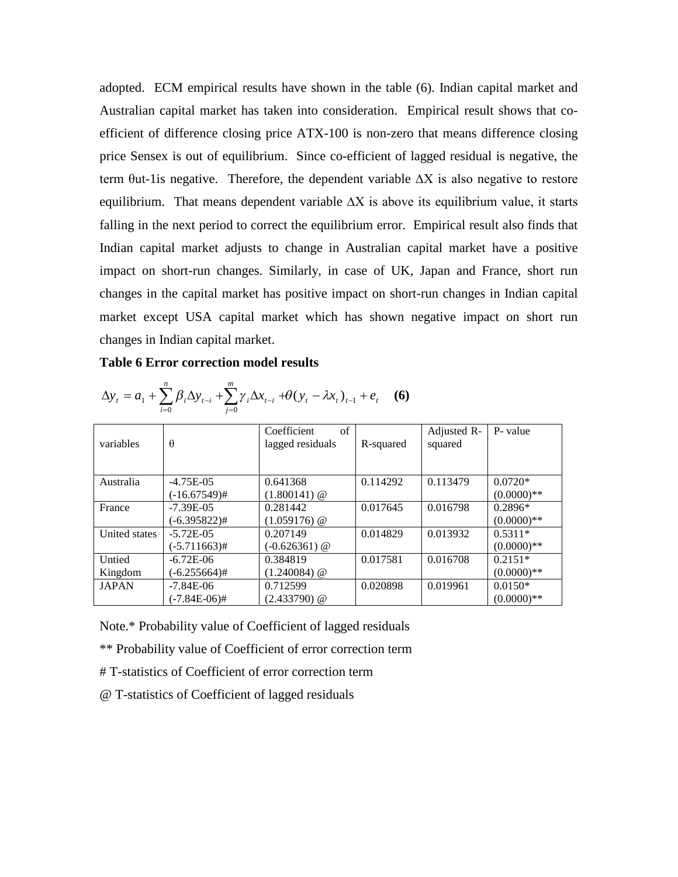adopted. ECM empirical results have shown in the table (6). Indian capital market and Australian capital market has taken into consideration. Empirical result shows that coefficient of difference closing price ATX-100 is non-zero that means difference closing price Sensex is out of equilibrium. Since co-efficient of lagged residual is negative, the term θut-1is negative. Therefore, the dependent variable ∆X is also negative to restore equilibrium. That means dependent variable  $\Delta X$  is above its equilibrium value, it starts falling in the next period to correct the equilibrium error. Empirical result also finds that Indian capital market adjusts to change in Australian capital market have a positive impact on short-run changes. Similarly, in case of UK, Japan and France, short run changes in the capital market has positive impact on short-run changes in Indian capital market except USA capital market which has shown negative impact on short run changes in Indian capital market.

### **Table 6 Error correction model results**

|               |                 | Coefficient<br>$\sigma$ f |           | Adjusted R- | P- value      |
|---------------|-----------------|---------------------------|-----------|-------------|---------------|
| variables     | $\theta$        | lagged residuals          | R-squared | squared     |               |
|               |                 |                           |           |             |               |
|               |                 |                           |           |             |               |
| Australia     | $-4.75E-05$     | 0.641368                  | 0.114292  | 0.113479    | $0.0720*$     |
|               | $(-16.67549)$ # | $(1.800141)$ @            |           |             | $(0.0000)**$  |
| France        | $-7.39E - 05$   | 0.281442                  | 0.017645  | 0.016798    | $0.2896*$     |
|               | (-6.395822)#    | $(1.059176)$ @            |           |             | $(0.0000)**$  |
| United states | $-5.72E - 05$   | 0.207149                  | 0.014829  | 0.013932    | $0.5311*$     |
|               | $(-5.711663)$ # | $(-0.626361)$ @           |           |             | $(0.0000)$ ** |
| Untied        | $-6.72E-06$     | 0.384819                  | 0.017581  | 0.016708    | $0.2151*$     |
| Kingdom       | (-6.255664)#    | $(1.240084)$ @            |           |             | $(0.0000)**$  |
| <b>JAPAN</b>  | $-7.84E-06$     | 0.712599                  | 0.020898  | 0.019961    | $0.0150*$     |
|               | (-7.84E-06)#    | $(2.433790)$ @            |           |             | $(0.0000)$ ** |

$$
\Delta y_t = a_1 + \sum_{i=0}^n \beta_i \Delta y_{t-i} + \sum_{j=0}^m \gamma_j \Delta x_{t-j} + \theta (y_t - \lambda x_t)_{t-1} + e_t \quad (6)
$$

Note.\* Probability value of Coefficient of lagged residuals

\*\* Probability value of Coefficient of error correction term

- # T-statistics of Coefficient of error correction term
- @ T-statistics of Coefficient of lagged residuals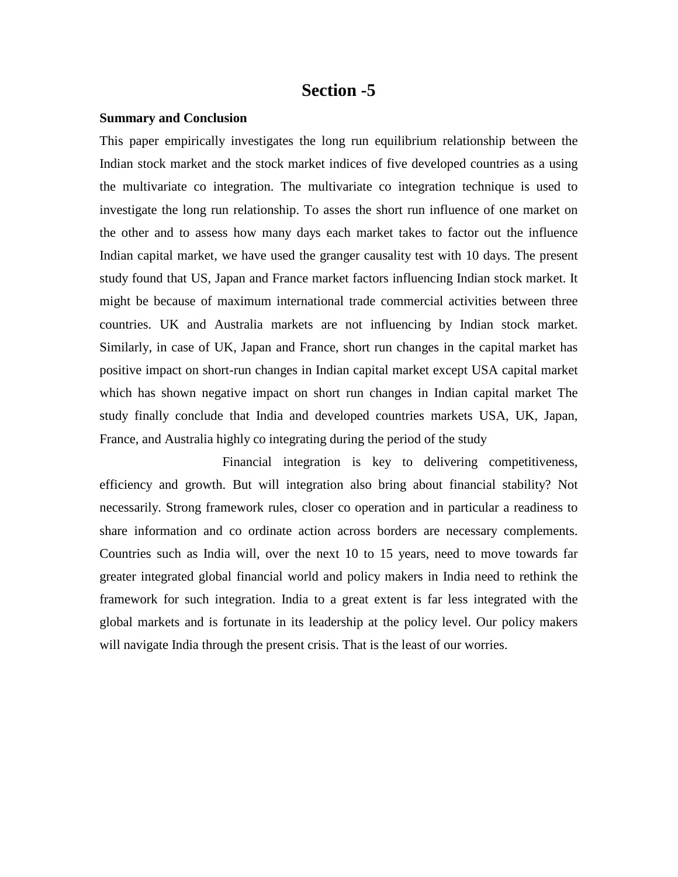# **Section -5**

#### **Summary and Conclusion**

This paper empirically investigates the long run equilibrium relationship between the Indian stock market and the stock market indices of five developed countries as a using the multivariate co integration. The multivariate co integration technique is used to investigate the long run relationship. To asses the short run influence of one market on the other and to assess how many days each market takes to factor out the influence Indian capital market, we have used the granger causality test with 10 days. The present study found that US, Japan and France market factors influencing Indian stock market. It might be because of maximum international trade commercial activities between three countries. UK and Australia markets are not influencing by Indian stock market. Similarly, in case of UK, Japan and France, short run changes in the capital market has positive impact on short-run changes in Indian capital market except USA capital market which has shown negative impact on short run changes in Indian capital market The study finally conclude that India and developed countries markets USA, UK, Japan, France, and Australia highly co integrating during the period of the study

Financial integration is key to delivering competitiveness, efficiency and growth. But will integration also bring about financial stability? Not necessarily. Strong framework rules, closer co operation and in particular a readiness to share information and co ordinate action across borders are necessary complements. Countries such as India will, over the next 10 to 15 years, need to move towards far greater integrated global financial world and policy makers in India need to rethink the framework for such integration. India to a great extent is far less integrated with the global markets and is fortunate in its leadership at the policy level. Our policy makers will navigate India through the present crisis. That is the least of our worries.